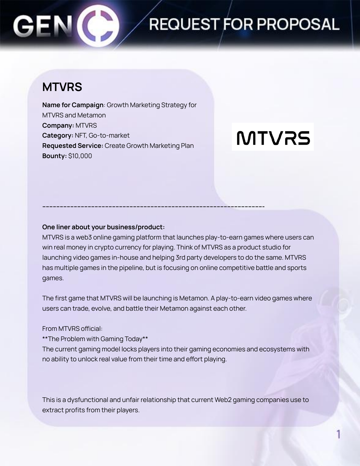## **REQUEST FOR PROPOSAL**

### **MTVRS**

**Name for Campaign**: Growth Marketing Strategy for MTVRS and Metamon **Company:** MTVRS **Category:** NFT, Go-to-market **Requested Service:** Create Growth Marketing Plan **Bounty:** \$10,000

# **MTVRS**

### **One liner about your business/product:**

MTVRS is a web3 online gaming platform that launches play-to-earn games where users can win real money in crypto currency for playing. Think of MTVRS as a product studio for launching video games in-house and helping 3rd party developers to do the same. MTVRS has multiple games in the pipeline, but is focusing on online competitive battle and sports games.

**------------------------------------------------------------------------------------------------------------------------------**

The first game that MTVRS will be launching is Metamon. A play-to-earn video games where users can trade, evolve, and battle their Metamon against each other.

### From MTVRS official:

\*\*The Problem with Gaming Today\*\*

The current gaming model locks players into their gaming economies and ecosystems with no ability to unlock real value from their time and effort playing.

This is a dysfunctional and unfair relationship that current Web2 gaming companies use to extract profits from their players.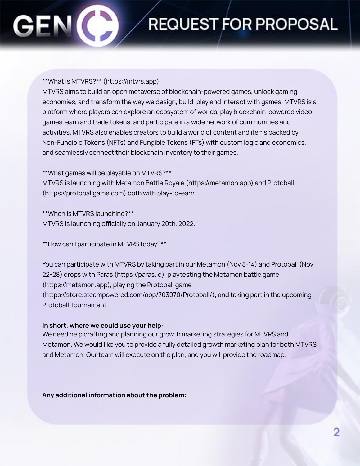### **REQUEST FOR PROPOSAL**

#### \*\*What is MTVRS?\*\* (https://mtvrs.app)

MTVRS aims to build an open metaverse of blockchain-powered games, unlock gaming economies, and transform the way we design, build, play and interact with games. MTVRS is a platform where players can explore an ecosystem of worlds, play blockchain-powered video games, earn and trade tokens, and participate in a wide network of communities and activities. MTVRS also enables creators to build a world of content and items backed by Non-Fungible Tokens (NFTs) and Fungible Tokens (FTs) with custom logic and economics, and seamlessly connect their blockchain inventory to their games.

\*\*What games will be playable on MTVRS?\*\*

MTVRS is launching with Metamon Battle Royale (https://metamon.app) and Protoball (https://protoballgame.com) both with play-to-earn.

\*\*When is MTVRS launching?\*\* MTVRS is launching officially on January 20th, 2022.

\*\*How can I participate in MTVRS today?\*\*

You can participate with MTVRS by taking part in our Metamon (Nov 8-14) and Protoball (Nov 22-28) drops with Paras (https://paras.id), playtesting the Metamon battle game (https://metamon.app), playing the Protoball game (https://store.steampowered.com/app/703970/Protoball/), and taking part in the upcoming Protoball Tournament

#### **In short, where we could use your help:**

We need help crafting and planning our growth marketing strategies for MTVRS and Metamon. We would like you to provide a fully detailed growth marketing plan for both MTVRS and Metamon. Our team will execute on the plan, and you will provide the roadmap.

**Any additional information about the problem:**